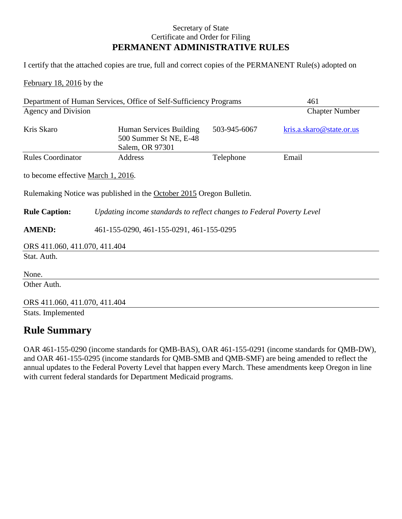# Secretary of State Certificate and Order for Filing **PERMANENT ADMINISTRATIVE RULES**

I certify that the attached copies are true, full and correct copies of the PERMANENT Rule(s) adopted on

February 18, 2016 by the

| Department of Human Services, Office of Self-Sufficiency Programs |                                                                       | 461          |                          |  |
|-------------------------------------------------------------------|-----------------------------------------------------------------------|--------------|--------------------------|--|
| <b>Agency and Division</b>                                        |                                                                       |              | <b>Chapter Number</b>    |  |
| Kris Skaro                                                        | Human Services Building<br>500 Summer St NE, E-48<br>Salem, OR 97301  | 503-945-6067 | kris.a.skaro@state.or.us |  |
| <b>Rules Coordinator</b>                                          | Address                                                               | Telephone    | Email                    |  |
| to become effective March 1, 2016.                                |                                                                       |              |                          |  |
|                                                                   | Rulemaking Notice was published in the October 2015 Oregon Bulletin.  |              |                          |  |
| <b>Rule Caption:</b>                                              | Updating income standards to reflect changes to Federal Poverty Level |              |                          |  |
| <b>AMEND:</b>                                                     | 461-155-0290, 461-155-0291, 461-155-0295                              |              |                          |  |
| ORS 411.060, 411.070, 411.404                                     |                                                                       |              |                          |  |
| Stat. Auth.                                                       |                                                                       |              |                          |  |
| None.                                                             |                                                                       |              |                          |  |
| Other Auth.                                                       |                                                                       |              |                          |  |
| ORS 411.060, 411.070, 411.404                                     |                                                                       |              |                          |  |
| Stats. Implemented                                                |                                                                       |              |                          |  |

# **Rule Summary**

OAR 461-155-0290 (income standards for QMB-BAS), OAR 461-155-0291 (income standards for QMB-DW), and OAR 461-155-0295 (income standards for QMB-SMB and QMB-SMF) are being amended to reflect the annual updates to the Federal Poverty Level that happen every March. These amendments keep Oregon in line with current federal standards for Department Medicaid programs.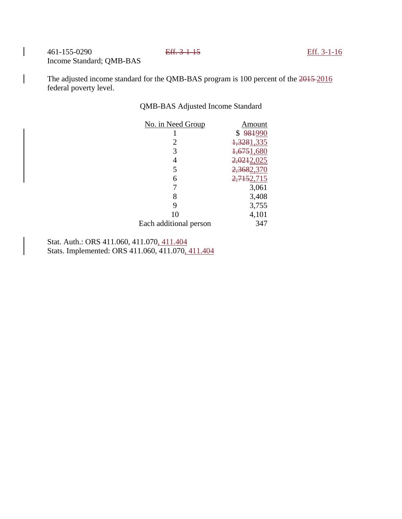461-155-0290 Eff. 3-1-15 Eff. 3-1-16 Income Standard; QMB-BAS

The adjusted income standard for the QMB-BAS program is 100 percent of the 2015-2016 federal poverty level.

# QMB-BAS Adjusted Income Standard

| No. in Need Group      | Amount     |
|------------------------|------------|
|                        |            |
|                        | \$981990   |
| $\overline{2}$         | 1,3281,335 |
| 3                      | 1,6751,680 |
| 4                      | 2,0212,025 |
| 5                      | 2,3682,370 |
| 6                      | 2,7152,715 |
| 7                      | 3,061      |
| 8                      | 3,408      |
| 9                      | 3,755      |
| 10                     | 4,101      |
| Each additional person | 347        |

Stat. Auth.: ORS 411.060, 411.070, 411.404 Stats. Implemented: ORS 411.060, 411.070, 411.404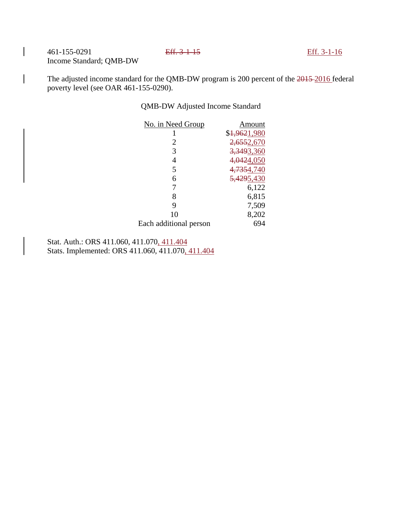461-155-0291 Eff. 3-1-15 Eff. 3-1-16 Income Standard; QMB-DW

The adjusted income standard for the QMB-DW program is 200 percent of the 2015-2016 federal poverty level (see OAR 461-155-0290).

# QMB-DW Adjusted Income Standard

| No. in Need Group      | Amount       |
|------------------------|--------------|
| 1                      | \$1,9621,980 |
| 2                      | 2,6552,670   |
| 3                      | 3,3493,360   |
| 4                      | 4,0424,050   |
| 5                      | 4,7354,740   |
| 6                      | 5,4295,430   |
| 7                      | 6,122        |
| 8                      | 6,815        |
| 9                      | 7,509        |
| 10                     | 8,202        |
| Each additional person | 694          |

Stat. Auth.: ORS 411.060, 411.070, 411.404 Stats. Implemented: ORS 411.060, 411.070, 411.404